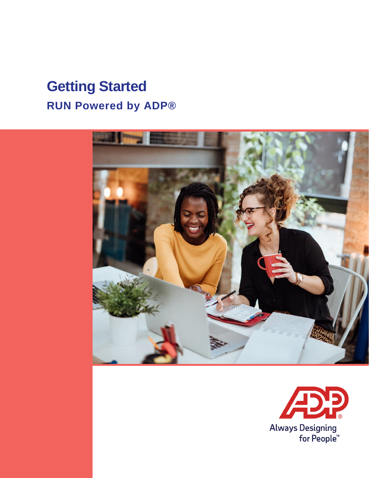# **Getting Started RUN Powered by ADP®**



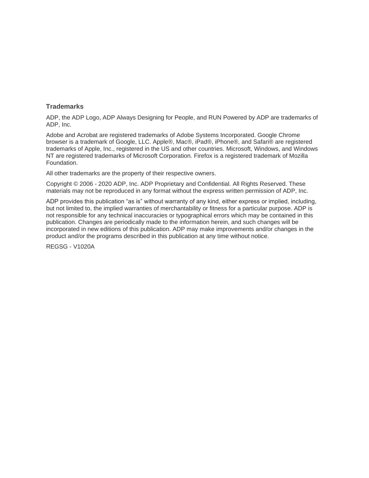#### **Trademarks**

ADP, the ADP Logo, ADP Always Designing for People, and RUN Powered by ADP are trademarks of ADP, Inc.

Adobe and Acrobat are registered trademarks of Adobe Systems Incorporated. Google Chrome browser is a trademark of Google, LLC. Apple®, Mac®, iPad®, iPhone®, and Safari® are registered trademarks of Apple, Inc., registered in the US and other countries. Microsoft, Windows, and Windows NT are registered trademarks of Microsoft Corporation. Firefox is a registered trademark of Mozilla Foundation.

All other trademarks are the property of their respective owners.

Copyright © 2006 - 2020 ADP, Inc. ADP Proprietary and Confidential. All Rights Reserved. These materials may not be reproduced in any format without the express written permission of ADP, Inc.

ADP provides this publication "as is" without warranty of any kind, either express or implied, including, but not limited to, the implied warranties of merchantability or fitness for a particular purpose. ADP is not responsible for any technical inaccuracies or typographical errors which may be contained in this publication. Changes are periodically made to the information herein, and such changes will be incorporated in new editions of this publication. ADP may make improvements and/or changes in the product and/or the programs described in this publication at any time without notice.

REGSG - V1020A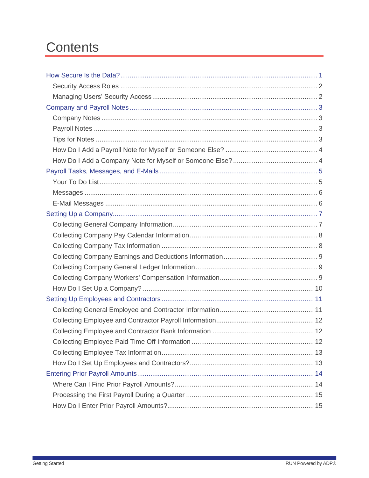# **Contents**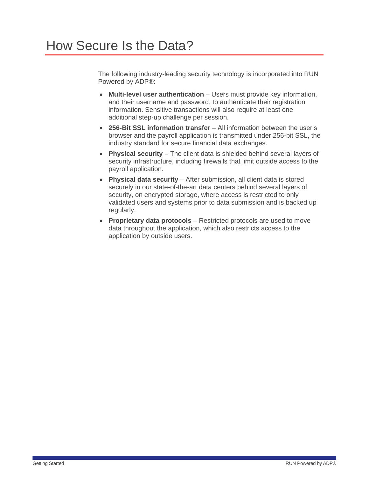<span id="page-4-0"></span>The following industry-leading security technology is incorporated into RUN Powered by ADP®:

- **Multi-level user authentication** Users must provide key information, and their username and password, to authenticate their registration information. Sensitive transactions will also require at least one additional step-up challenge per session.
- **256-Bit SSL information transfer** All information between the user's browser and the payroll application is transmitted under 256-bit SSL, the industry standard for secure financial data exchanges.
- **Physical security** The client data is shielded behind several layers of security infrastructure, including firewalls that limit outside access to the payroll application.
- **Physical data security** After submission, all client data is stored securely in our state-of-the-art data centers behind several layers of security, on encrypted storage, where access is restricted to only validated users and systems prior to data submission and is backed up regularly.
- **Proprietary data protocols** Restricted protocols are used to move data throughout the application, which also restricts access to the application by outside users.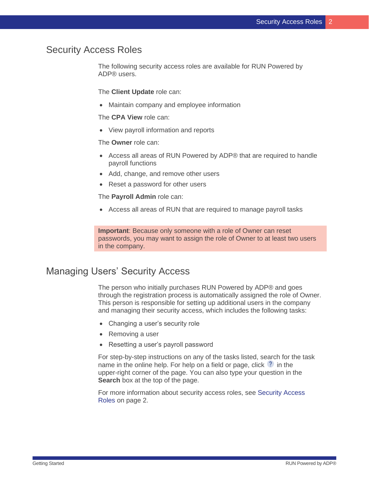## <span id="page-5-0"></span>Security Access Roles

The following security access roles are available for RUN Powered by ADP® users.

The **Client Update** role can:

• Maintain company and employee information

The **CPA View** role can:

• View payroll information and reports

The **Owner** role can:

- Access all areas of RUN Powered by ADP® that are required to handle payroll functions
- Add, change, and remove other users
- Reset a password for other users

The **Payroll Admin** role can:

• Access all areas of RUN that are required to manage payroll tasks

**Important**: Because only someone with a role of Owner can reset passwords, you may want to assign the role of Owner to at least two users in the company.

### <span id="page-5-1"></span>Managing Users' Security Access

The person who initially purchases RUN Powered by ADP® and goes through the registration process is automatically assigned the role of Owner. This person is responsible for setting up additional users in the company and managing their security access, which includes the following tasks:

- Changing a user's security role
- Removing a user
- Resetting a user's payroll password

For step-by-step instructions on any of the tasks listed, search for the task name in the online help. For help on a field or page, click  $\sqrt{\cdot}$  in the upper-right corner of the page. You can also type your question in the **Search** box at the top of the page.

For more information about security access roles, see Security Access Roles on page [2.](#page-5-0)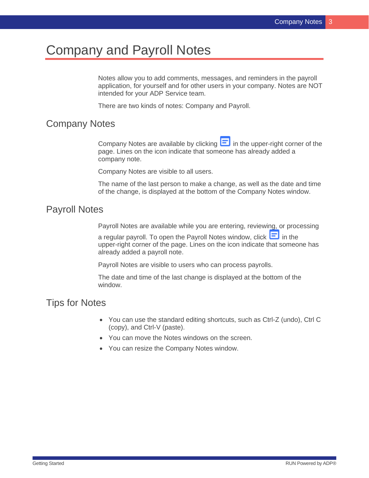# <span id="page-6-0"></span>Company and Payroll Notes

Notes allow you to add comments, messages, and reminders in the payroll application, for yourself and for other users in your company. Notes are NOT intended for your ADP Service team.

There are two kinds of notes: Company and Payroll.

### <span id="page-6-1"></span>Company Notes

Company Notes are available by clicking  $\Box$  in the upper-right corner of the page. Lines on the icon indicate that someone has already added a company note.

Company Notes are visible to all users.

The name of the last person to make a change, as well as the date and time of the change, is displayed at the bottom of the Company Notes window.

#### <span id="page-6-2"></span>Payroll Notes

Payroll Notes are available while you are entering, reviewing, or processing

a regular payroll. To open the Payroll Notes window, click  $\Box$  in the upper-right corner of the page. Lines on the icon indicate that someone has already added a payroll note.

Payroll Notes are visible to users who can process payrolls.

The date and time of the last change is displayed at the bottom of the window.

# <span id="page-6-3"></span>Tips for Notes

- You can use the standard editing shortcuts, such as Ctrl-Z (undo), Ctrl C (copy), and Ctrl-V (paste).
- You can move the Notes windows on the screen.
- You can resize the Company Notes window.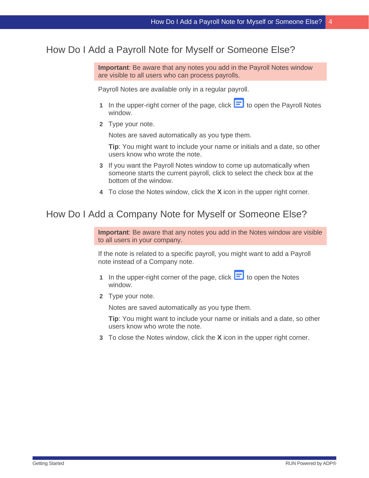## <span id="page-7-0"></span>How Do I Add a Payroll Note for Myself or Someone Else?

**Important**: Be aware that any notes you add in the Payroll Notes window are visible to all users who can process payrolls.

Payroll Notes are available only in a regular payroll.

- **1** In the upper-right corner of the page, click  $\blacksquare$  to open the Payroll Notes window.
- **2** Type your note.

Notes are saved automatically as you type them.

**Tip**: You might want to include your name or initials and a date, so other users know who wrote the note.

- **3** If you want the Payroll Notes window to come up automatically when someone starts the current payroll, click to select the check box at the bottom of the window.
- **4** To close the Notes window, click the **X** icon in the upper right corner.

#### <span id="page-7-1"></span>How Do I Add a Company Note for Myself or Someone Else?

**Important**: Be aware that any notes you add in the Notes window are visible to all users in your company.

If the note is related to a specific payroll, you might want to add a Payroll note instead of a Company note.

- 1 In the upper-right corner of the page, click **the State of the Notes** window.
- **2** Type your note.

Notes are saved automatically as you type them.

**Tip**: You might want to include your name or initials and a date, so other users know who wrote the note.

**3** To close the Notes window, click the **X** icon in the upper right corner.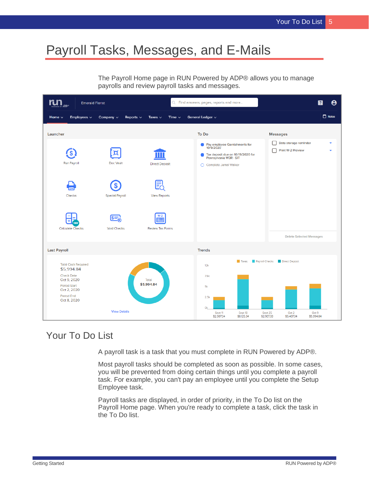# <span id="page-8-0"></span>Payroll Tasks, Messages, and E-Mails

The Payroll Home page in RUN Powered by ADP® allows you to manage payrolls and review payroll tasks and messages.



## <span id="page-8-1"></span>Your To Do List

A payroll task is a task that you must complete in RUN Powered by ADP®.

Most payroll tasks should be completed as soon as possible. In some cases, you will be prevented from doing certain things until you complete a payroll task. For example, you can't pay an employee until you complete the Setup Employee task.

Payroll tasks are displayed, in order of priority, in the To Do list on the Payroll Home page. When you're ready to complete a task, click the task in the To Do list.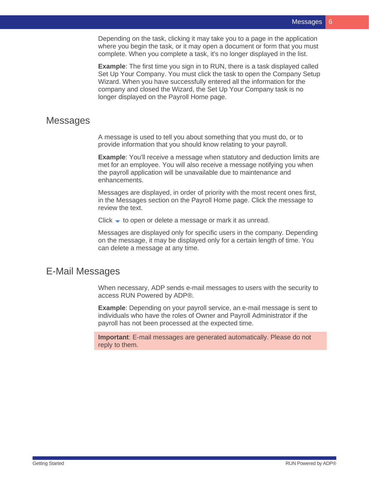Depending on the task, clicking it may take you to a page in the application where you begin the task, or it may open a document or form that you must complete. When you complete a task, it's no longer displayed in the list.

**Example**: The first time you sign in to RUN, there is a task displayed called Set Up Your Company. You must click the task to open the Company Setup Wizard. When you have successfully entered all the information for the company and closed the Wizard, the Set Up Your Company task is no longer displayed on the Payroll Home page.

#### <span id="page-9-0"></span>**Messages**

A message is used to tell you about something that you must do, or to provide information that you should know relating to your payroll.

**Example:** You'll receive a message when statutory and deduction limits are met for an employee. You will also receive a message notifying you when the payroll application will be unavailable due to maintenance and enhancements.

Messages are displayed, in order of priority with the most recent ones first, in the Messages section on the Payroll Home page. Click the message to review the text.

Click  $\bullet$  to open or delete a message or mark it as unread.

Messages are displayed only for specific users in the company. Depending on the message, it may be displayed only for a certain length of time. You can delete a message at any time.

## <span id="page-9-1"></span>E-Mail Messages

When necessary, ADP sends e-mail messages to users with the security to access RUN Powered by ADP®.

**Example:** Depending on your payroll service, an e-mail message is sent to individuals who have the roles of Owner and Payroll Administrator if the payroll has not been processed at the expected time.

**Important**: E-mail messages are generated automatically. Please do not reply to them.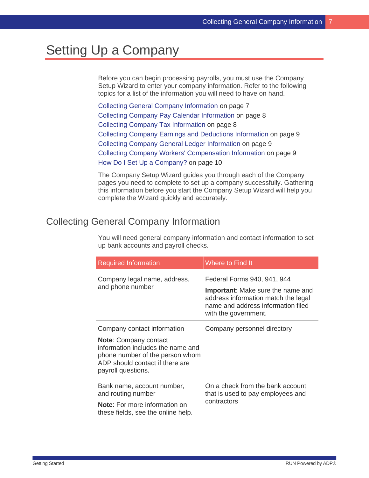# <span id="page-10-0"></span>Setting Up a Company

Before you can begin processing payrolls, you must use the Company Setup Wizard to enter your company information. Refer to the following topics for a list of the information you will need to have on hand.

Collecting General Company Information on page [7](#page-10-1) Collecting Company Pay Calendar Information on page [8](#page-11-0) Collecting Company Tax Information on page [8](#page-11-1) Collecting Company Earnings and Deductions Information on page [9](#page-12-0) Collecting Company General Ledger Information on page [9](#page-12-1) Collecting Company Workers' Compensation Information on page [9](#page-12-2) How Do I Set Up a Company? on page [10](#page-13-0)

The Company Setup Wizard guides you through each of the Company pages you need to complete to set up a company successfully. Gathering this information before you start the Company Setup Wizard will help you complete the Wizard quickly and accurately.

# <span id="page-10-1"></span>Collecting General Company Information

You will need general company information and contact information to set up bank accounts and payroll checks.

| <b>Required Information</b>                                                                                                                                   | Where to Find It                                                                                                                              |  |  |  |  |  |
|---------------------------------------------------------------------------------------------------------------------------------------------------------------|-----------------------------------------------------------------------------------------------------------------------------------------------|--|--|--|--|--|
| Company legal name, address,                                                                                                                                  | Federal Forms 940, 941, 944                                                                                                                   |  |  |  |  |  |
| and phone number                                                                                                                                              | <b>Important:</b> Make sure the name and<br>address information match the legal<br>name and address information filed<br>with the government. |  |  |  |  |  |
| Company contact information                                                                                                                                   | Company personnel directory                                                                                                                   |  |  |  |  |  |
| <b>Note:</b> Company contact<br>information includes the name and<br>phone number of the person whom<br>ADP should contact if there are<br>payroll questions. |                                                                                                                                               |  |  |  |  |  |
| Bank name, account number,<br>and routing number                                                                                                              | On a check from the bank account<br>that is used to pay employees and<br>contractors                                                          |  |  |  |  |  |
| <b>Note:</b> For more information on<br>these fields, see the online help.                                                                                    |                                                                                                                                               |  |  |  |  |  |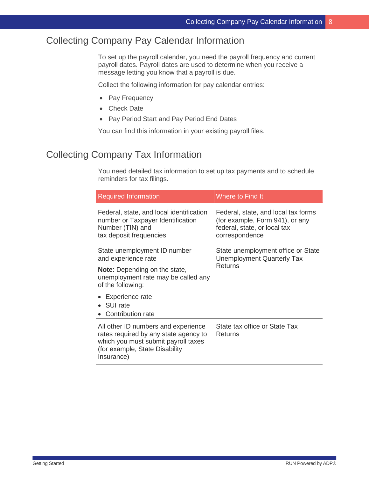## <span id="page-11-0"></span>Collecting Company Pay Calendar Information

To set up the payroll calendar, you need the payroll frequency and current payroll dates. Payroll dates are used to determine when you receive a message letting you know that a payroll is due.

Collect the following information for pay calendar entries:

- Pay Frequency
- Check Date
- Pay Period Start and Pay Period End Dates

You can find this information in your existing payroll files.

## <span id="page-11-1"></span>Collecting Company Tax Information

You need detailed tax information to set up tax payments and to schedule reminders for tax filings.

| <b>Required Information</b>                                                                                                                                          | Where to Find It                                                                                                         |  |  |  |  |
|----------------------------------------------------------------------------------------------------------------------------------------------------------------------|--------------------------------------------------------------------------------------------------------------------------|--|--|--|--|
| Federal, state, and local identification<br>number or Taxpayer Identification<br>Number (TIN) and<br>tax deposit frequencies                                         | Federal, state, and local tax forms<br>(for example, Form 941), or any<br>federal, state, or local tax<br>correspondence |  |  |  |  |
| State unemployment ID number<br>and experience rate                                                                                                                  | State unemployment office or State<br><b>Unemployment Quarterly Tax</b><br>Returns                                       |  |  |  |  |
| <b>Note:</b> Depending on the state,<br>unemployment rate may be called any<br>of the following:                                                                     |                                                                                                                          |  |  |  |  |
| Experience rate<br>• SUI rate<br>• Contribution rate                                                                                                                 |                                                                                                                          |  |  |  |  |
| All other ID numbers and experience<br>rates required by any state agency to<br>which you must submit payroll taxes<br>(for example, State Disability)<br>Insurance) | State tax office or State Tax<br>Returns                                                                                 |  |  |  |  |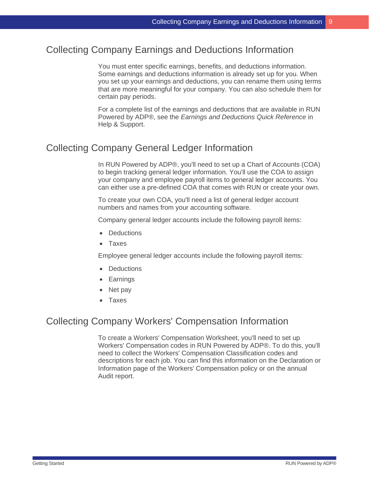## <span id="page-12-0"></span>Collecting Company Earnings and Deductions Information

You must enter specific earnings, benefits, and deductions information. Some earnings and deductions information is already set up for you. When you set up your earnings and deductions, you can rename them using terms that are more meaningful for your company. You can also schedule them for certain pay periods.

For a complete list of the earnings and deductions that are available in RUN Powered by ADP®, see the *Earnings and Deductions Quick Reference* in Help & Support.

## <span id="page-12-1"></span>Collecting Company General Ledger Information

In RUN Powered by ADP®, you'll need to set up a Chart of Accounts (COA) to begin tracking general ledger information. You'll use the COA to assign your company and employee payroll items to general ledger accounts. You can either use a pre-defined COA that comes with RUN or create your own.

To create your own COA, you'll need a list of general ledger account numbers and names from your accounting software.

Company general ledger accounts include the following payroll items:

- Deductions
- Taxes

Employee general ledger accounts include the following payroll items:

- Deductions
- Earnings
- Net pay
- Taxes

### <span id="page-12-2"></span>Collecting Company Workers' Compensation Information

To create a Workers' Compensation Worksheet, you'll need to set up Workers' Compensation codes in RUN Powered by ADP®. To do this, you'll need to collect the Workers' Compensation Classification codes and descriptions for each job. You can find this information on the Declaration or Information page of the Workers' Compensation policy or on the annual Audit report.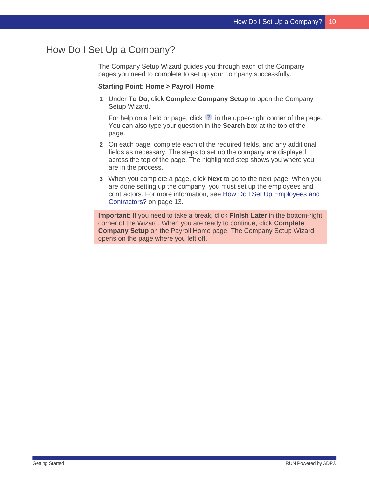# <span id="page-13-0"></span>How Do I Set Up a Company?

The Company Setup Wizard guides you through each of the Company pages you need to complete to set up your company successfully.

#### **Starting Point: Home > Payroll Home**

**1** Under **To Do**, click **Complete Company Setup** to open the Company Setup Wizard.

For help on a field or page, click  $\sqrt{2}$  in the upper-right corner of the page. You can also type your question in the **Search** box at the top of the page.

- **2** On each page, complete each of the required fields, and any additional fields as necessary. The steps to set up the company are displayed across the top of the page. The highlighted step shows you where you are in the process.
- **3** When you complete a page, click **Next** to go to the next page. When you are done setting up the company, you must set up the employees and contractors. For more information, see How Do I Set Up Employees and Contractors? on page [13.](#page-16-1)

**Important**: If you need to take a break, click **Finish Later** in the bottom-right corner of the Wizard. When you are ready to continue, click **Complete Company Setup** on the Payroll Home page. The Company Setup Wizard opens on the page where you left off.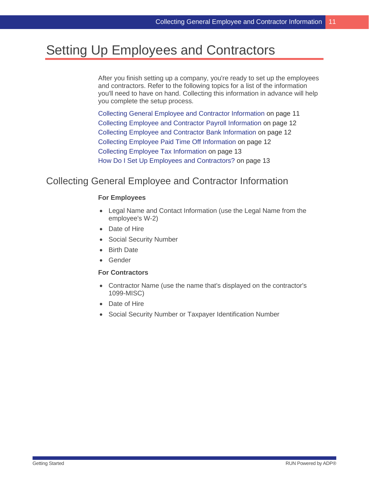# <span id="page-14-0"></span>Setting Up Employees and Contractors

After you finish setting up a company, you're ready to set up the employees and contractors. Refer to the following topics for a list of the information you'll need to have on hand. Collecting this information in advance will help you complete the setup process.

Collecting General Employee and Contractor Information on page [11](#page-14-1) Collecting Employee and Contractor Payroll Information on page [12](#page-15-0) Collecting Employee and Contractor Bank Information on page [12](#page-15-1) Collecting Employee Paid Time Off Information on page [12](#page-15-2) Collecting Employee Tax Information on page [13](#page-16-0) How Do I Set Up Employees and Contractors? on page [13](#page-16-1)

## <span id="page-14-1"></span>Collecting General Employee and Contractor Information

#### **For Employees**

- Legal Name and Contact Information (use the Legal Name from the employee's W-2)
- Date of Hire
- Social Security Number
- **Birth Date**
- Gender

#### **For Contractors**

- Contractor Name (use the name that's displayed on the contractor's 1099-MISC)
- Date of Hire
- Social Security Number or Taxpayer Identification Number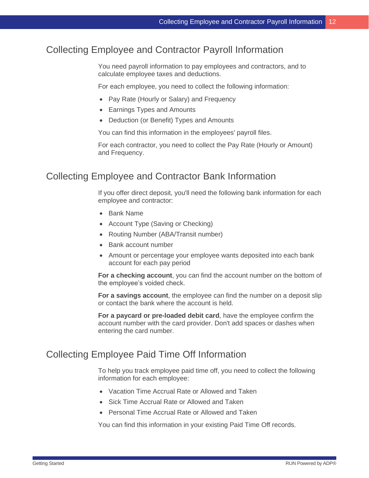# <span id="page-15-0"></span>Collecting Employee and Contractor Payroll Information

You need payroll information to pay employees and contractors, and to calculate employee taxes and deductions.

For each employee, you need to collect the following information:

- Pay Rate (Hourly or Salary) and Frequency
- Earnings Types and Amounts
- Deduction (or Benefit) Types and Amounts

You can find this information in the employees' payroll files.

For each contractor, you need to collect the Pay Rate (Hourly or Amount) and Frequency.

### <span id="page-15-1"></span>Collecting Employee and Contractor Bank Information

If you offer direct deposit, you'll need the following bank information for each employee and contractor:

- Bank Name
- Account Type (Saving or Checking)
- Routing Number (ABA/Transit number)
- Bank account number
- Amount or percentage your employee wants deposited into each bank account for each pay period

**For a checking account**, you can find the account number on the bottom of the employee's voided check.

**For a savings account**, the employee can find the number on a deposit slip or contact the bank where the account is held.

**For a paycard or pre-loaded debit card**, have the employee confirm the account number with the card provider. Don't add spaces or dashes when entering the card number.

## <span id="page-15-2"></span>Collecting Employee Paid Time Off Information

To help you track employee paid time off, you need to collect the following information for each employee:

- Vacation Time Accrual Rate or Allowed and Taken
- Sick Time Accrual Rate or Allowed and Taken
- Personal Time Accrual Rate or Allowed and Taken

You can find this information in your existing Paid Time Off records.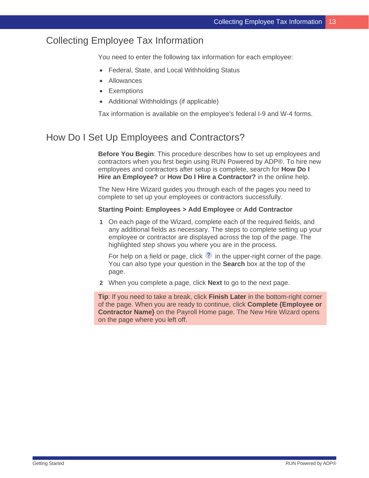## <span id="page-16-0"></span>Collecting Employee Tax Information

You need to enter the following tax information for each employee:

- Federal, State, and Local Withholding Status
- **Allowances**
- Exemptions
- Additional Withholdings (if applicable)

Tax information is available on the employee's federal I-9 and W-4 forms.

# <span id="page-16-1"></span>How Do I Set Up Employees and Contractors?

**Before You Begin**: This procedure describes how to set up employees and contractors when you first begin using RUN Powered by ADP®. To hire new employees and contractors after setup is complete, search for **How Do I Hire an Employee?** or **How Do I Hire a Contractor?** in the online help.

The New Hire Wizard guides you through each of the pages you need to complete to set up your employees or contractors successfully.

#### **Starting Point: Employees > Add Employee** or **Add Contractor**

**1** On each page of the Wizard, complete each of the required fields, and any additional fields as necessary. The steps to complete setting up your employee or contractor are displayed across the top of the page. The highlighted step shows you where you are in the process.

For help on a field or page, click  $\bullet$  in the upper-right corner of the page. You can also type your question in the **Search** box at the top of the page.

**2** When you complete a page, click **Next** to go to the next page.

**Tip**: If you need to take a break, click **Finish Later** in the bottom-right corner of the page. When you are ready to continue, click **Complete {Employee or Contractor Name}** on the Payroll Home page. The New Hire Wizard opens on the page where you left off.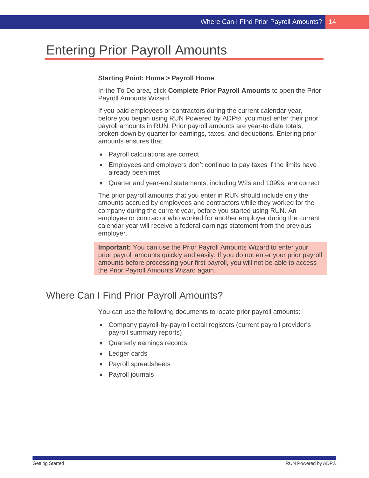# <span id="page-17-0"></span>Entering Prior Payroll Amounts

#### **Starting Point: Home > Payroll Home**

In the To Do area, click **Complete Prior Payroll Amounts** to open the Prior Payroll Amounts Wizard.

If you paid employees or contractors during the current calendar year, before you began using RUN Powered by ADP®, you must enter their prior payroll amounts in RUN. Prior payroll amounts are year-to-date totals, broken down by quarter for earnings, taxes, and deductions. Entering prior amounts ensures that:

- Payroll calculations are correct
- Employees and employers don't continue to pay taxes if the limits have already been met
- Quarter and year-end statements, including W2s and 1099s, are correct

The prior payroll amounts that you enter in RUN should include only the amounts accrued by employees and contractors while they worked for the company during the current year, before you started using RUN. An employee or contractor who worked for another employer during the current calendar year will receive a federal earnings statement from the previous employer.

**Important:** You can use the Prior Payroll Amounts Wizard to enter your prior payroll amounts quickly and easily. If you do not enter your prior payroll amounts before processing your first payroll, you will not be able to access the Prior Payroll Amounts Wizard again.

# <span id="page-17-1"></span>Where Can I Find Prior Payroll Amounts?

You can use the following documents to locate prior payroll amounts:

- Company payroll-by-payroll detail registers (current payroll provider's payroll summary reports)
- Quarterly earnings records
- Ledger cards
- Payroll spreadsheets
- Payroll journals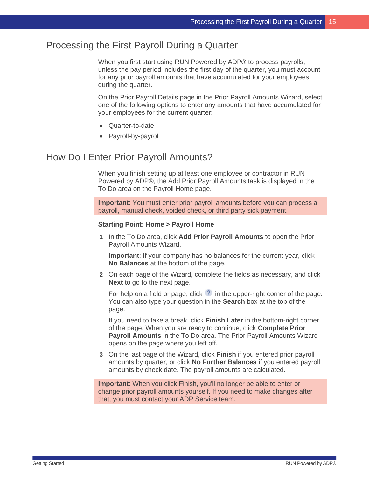## <span id="page-18-0"></span>Processing the First Payroll During a Quarter

When you first start using RUN Powered by ADP® to process payrolls, unless the pay period includes the first day of the quarter, you must account for any prior payroll amounts that have accumulated for your employees during the quarter.

On the Prior Payroll Details page in the Prior Payroll Amounts Wizard, select one of the following options to enter any amounts that have accumulated for your employees for the current quarter:

- Quarter-to-date
- Payroll-by-payroll

#### <span id="page-18-1"></span>How Do I Enter Prior Payroll Amounts?

When you finish setting up at least one employee or contractor in RUN Powered by ADP®, the Add Prior Payroll Amounts task is displayed in the To Do area on the Payroll Home page.

**Important**: You must enter prior payroll amounts before you can process a payroll, manual check, voided check, or third party sick payment.

#### **Starting Point: Home > Payroll Home**

**1** In the To Do area, click **Add Prior Payroll Amounts** to open the Prior Payroll Amounts Wizard.

**Important**: If your company has no balances for the current year, click **No Balances** at the bottom of the page.

**2** On each page of the Wizard, complete the fields as necessary, and click **Next** to go to the next page.

For help on a field or page, click  $\Omega$  in the upper-right corner of the page. You can also type your question in the **Search** box at the top of the page.

If you need to take a break, click **Finish Later** in the bottom-right corner of the page. When you are ready to continue, click **Complete Prior Payroll Amounts** in the To Do area. The Prior Payroll Amounts Wizard opens on the page where you left off.

**3** On the last page of the Wizard, click **Finish** if you entered prior payroll amounts by quarter, or click **No Further Balances** if you entered payroll amounts by check date. The payroll amounts are calculated.

**Important**: When you click Finish, you'll no longer be able to enter or change prior payroll amounts yourself. If you need to make changes after that, you must contact your ADP Service team.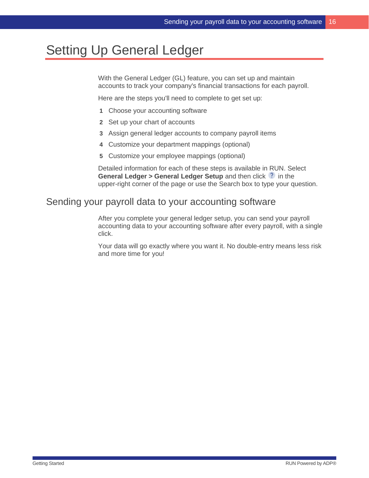# <span id="page-19-0"></span>Setting Up General Ledger

With the General Ledger (GL) feature, you can set up and maintain accounts to track your company's financial transactions for each payroll.

Here are the steps you'll need to complete to get set up:

- **1** Choose your accounting software
- **2** Set up your chart of accounts
- **3** Assign general ledger accounts to company payroll items
- **4** Customize your department mappings (optional)
- **5** Customize your employee mappings (optional)

Detailed information for each of these steps is available in RUN. Select **General Ledger > General Ledger Setup** and then click <sup>?</sup> in the upper-right corner of the page or use the Search box to type your question.

## <span id="page-19-1"></span>Sending your payroll data to your accounting software

After you complete your general ledger setup, you can send your payroll accounting data to your accounting software after every payroll, with a single click.

Your data will go exactly where you want it. No double-entry means less risk and more time for you!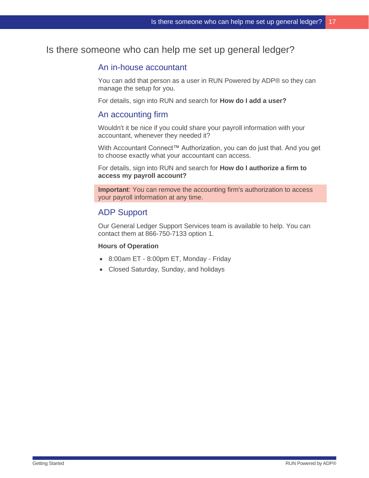## <span id="page-20-0"></span>Is there someone who can help me set up general ledger?

#### An in-house accountant

You can add that person as a user in RUN Powered by ADP® so they can manage the setup for you.

For details, sign into RUN and search for **How do I add a user?**

#### An accounting firm

Wouldn't it be nice if you could share your payroll information with your accountant, whenever they needed it?

With Accountant Connect™ Authorization, you can do just that. And you get to choose exactly what your accountant can access.

For details, sign into RUN and search for **How do I authorize a firm to access my payroll account?**

**Important**: You can remove the accounting firm's authorization to access your payroll information at any time.

#### ADP Support

Our General Ledger Support Services team is available to help. You can contact them at 866-750-7133 option 1.

#### **Hours of Operation**

- 8:00am ET 8:00pm ET, Monday Friday
- Closed Saturday, Sunday, and holidays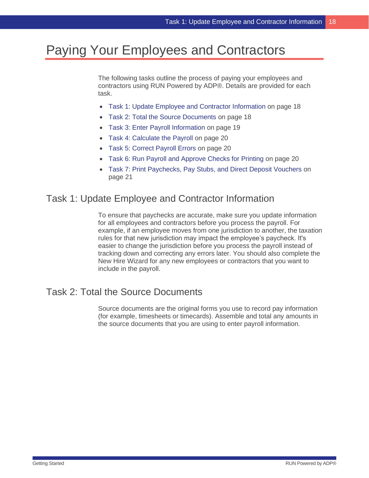# <span id="page-21-0"></span>Paying Your Employees and Contractors

The following tasks outline the process of paying your employees and contractors using RUN Powered by ADP®. Details are provided for each task.

- Task 1: Update Employee and Contractor Information on page [18](#page-21-1)
- Task 2: Total the Source Documents on page [18](#page-21-2)
- Task 3: Enter Payroll Information on page [19](#page-22-0)
- Task 4: Calculate the Payroll on page [20](#page-23-0)
- Task 5: Correct Payroll Errors on page [20](#page-23-1)
- Task 6: Run Payroll and Approve Checks for Printing on page [20](#page-23-2)
- Task 7: Print Paychecks, Pay Stubs, and Direct Deposit Vouchers on page [21](#page-24-0)

#### <span id="page-21-1"></span>Task 1: Update Employee and Contractor Information

To ensure that paychecks are accurate, make sure you update information for all employees and contractors before you process the payroll. For example, if an employee moves from one jurisdiction to another, the taxation rules for that new jurisdiction may impact the employee's paycheck. It's easier to change the jurisdiction before you process the payroll instead of tracking down and correcting any errors later. You should also complete the New Hire Wizard for any new employees or contractors that you want to include in the payroll.

#### <span id="page-21-2"></span>Task 2: Total the Source Documents

Source documents are the original forms you use to record pay information (for example, timesheets or timecards). Assemble and total any amounts in the source documents that you are using to enter payroll information.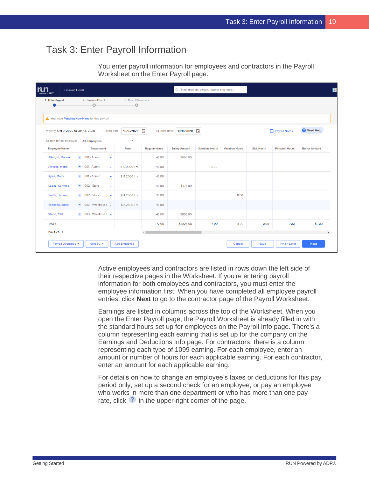## <span id="page-22-0"></span>Task 3: Enter Payroll Information

You enter payroll information for employees and contractors in the Payroll Worksheet on the Enter Payroll page.

| <b>Emerald Florist</b>                             |                      |                                     |                          |                         |                         |                      | Q Find answers, pages, reports and more |                       |                   |                       |                        |
|----------------------------------------------------|----------------------|-------------------------------------|--------------------------|-------------------------|-------------------------|----------------------|-----------------------------------------|-----------------------|-------------------|-----------------------|------------------------|
| 1. Enter Payroll                                   |                      | 2. Preview Payroll<br>O             |                          | 3. Payroll Summary<br>o |                         |                      |                                         |                       |                   |                       |                        |
| Nou have <b>Pending New Hires</b> for this payroll |                      |                                     |                          |                         |                         |                      |                                         |                       |                   |                       |                        |
| Weekly: Oct 9, 2020 to Oct 15, 2020                |                      |                                     | Check date:              | 10/16/2020              | $\Box$<br>GL post date: | 10/16/2020           |                                         |                       |                   | Payroll Notes         | <sup>2</sup> Need Help |
| Search for an employee: All Employees              |                      |                                     |                          | $\blacktriangledown$    |                         |                      |                                         |                       |                   |                       |                        |
| <b>Employee Name</b>                               |                      | Department                          |                          | Rate                    | <b>Regular Hours</b>    | <b>Salary Amount</b> | <b>Overtime Hours</b>                   | <b>Vacation Hours</b> | <b>Sick Hours</b> | <b>Personal Hours</b> | <b>Bonus Amount</b>    |
| Albright, Marian                                   | $\blacktriangledown$ | 001 - Admin                         | $\overline{\phantom{a}}$ |                         | 40.00                   | \$550.00             |                                         |                       |                   |                       |                        |
| Alvarez, Maria                                     |                      | $\bullet$ 001 - Admin               | $\overline{\phantom{a}}$ | \$15,0000 / hr          | 40.00                   |                      | 8.00                                    |                       |                   |                       |                        |
| Ryan, Molly                                        | $\blacktriangledown$ | 001 - Admin                         | ٠                        | \$14,2500 / hr          | 40.00                   |                      |                                         |                       |                   |                       |                        |
| Lopez, Carmine                                     |                      | $\bullet$ 002 - Store               | ٠                        |                         | 40.00                   | \$478.00             |                                         |                       |                   |                       |                        |
| Smith, Hannah                                      |                      | $\bullet$ 002 - Store               | ٠                        | \$14,2500 / hr          | 32.00                   |                      |                                         | 8.00                  |                   |                       |                        |
| <b>Esposito, Susie</b>                             |                      | $\bullet$ 003 - Warehouse $\bullet$ |                          | \$13,2500 / hr          | 40.00                   |                      |                                         |                       |                   |                       |                        |
| Wood, Cliff                                        | $\blacktriangledown$ | $003 - \text{Warehouse}$            |                          |                         | 40.00                   | \$800.00             |                                         |                       |                   |                       |                        |
| <b>Totals</b>                                      |                      |                                     |                          |                         | 272.00                  | \$1,828.00           | 8.00                                    | 8.00                  | 0.00              | 0.00                  | \$0.00                 |
| Page 1 of 1: 1                                     |                      |                                     |                          |                         | $\leftarrow$            |                      |                                         |                       |                   |                       |                        |
| Payroll Overrides                                  |                      | Sort By $\sim$                      |                          | <b>Add Employee</b>     |                         |                      |                                         | Cancel                | <b>Save</b>       | <b>Finish Later</b>   | <b>Next</b>            |

Active employees and contractors are listed in rows down the left side of their respective pages in the Worksheet. If you're entering payroll information for both employees and contractors, you must enter the employee information first. When you have completed all employee payroll entries, click **Next** to go to the contractor page of the Payroll Worksheet.

Earnings are listed in columns across the top of the Worksheet. When you open the Enter Payroll page, the Payroll Worksheet is already filled in with the standard hours set up for employees on the Payroll Info page. There's a column representing each earning that is set up for the company on the Earnings and Deductions Info page. For contractors, there is a column representing each type of 1099 earning. For each employee, enter an amount or number of hours for each applicable earning. For each contractor, enter an amount for each applicable earning.

For details on how to change an employee's taxes or deductions for this pay period only, set up a second check for an employee, or pay an employee who works in more than one department or who has more than one pay rate, click  $\binom{?}{'}$  in the upper-right corner of the page.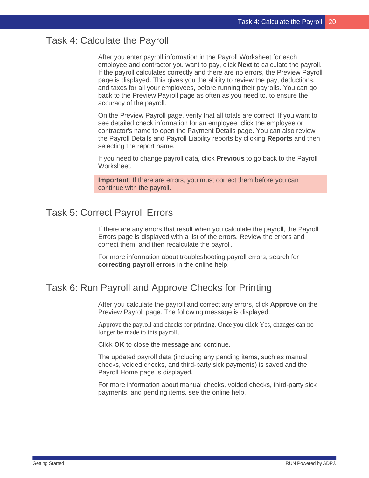#### <span id="page-23-0"></span>Task 4: Calculate the Payroll

After you enter payroll information in the Payroll Worksheet for each employee and contractor you want to pay, click **Next** to calculate the payroll. If the payroll calculates correctly and there are no errors, the Preview Payroll page is displayed. This gives you the ability to review the pay, deductions, and taxes for all your employees, before running their payrolls. You can go back to the Preview Payroll page as often as you need to, to ensure the accuracy of the payroll.

On the Preview Payroll page, verify that all totals are correct. If you want to see detailed check information for an employee, click the employee or contractor's name to open the Payment Details page. You can also review the Payroll Details and Payroll Liability reports by clicking **Reports** and then selecting the report name.

If you need to change payroll data, click **Previous** to go back to the Payroll Worksheet.

**Important**: If there are errors, you must correct them before you can continue with the payroll.

## <span id="page-23-1"></span>Task 5: Correct Payroll Errors

If there are any errors that result when you calculate the payroll, the Payroll Errors page is displayed with a list of the errors. Review the errors and correct them, and then recalculate the payroll.

For more information about troubleshooting payroll errors, search for **correcting payroll errors** in the online help.

## <span id="page-23-2"></span>Task 6: Run Payroll and Approve Checks for Printing

After you calculate the payroll and correct any errors, click **Approve** on the Preview Payroll page. The following message is displayed:

Approve the payroll and checks for printing. Once you click Yes, changes can no longer be made to this payroll.

Click **OK** to close the message and continue.

The updated payroll data (including any pending items, such as manual checks, voided checks, and third-party sick payments) is saved and the Payroll Home page is displayed.

For more information about manual checks, voided checks, third-party sick payments, and pending items, see the online help.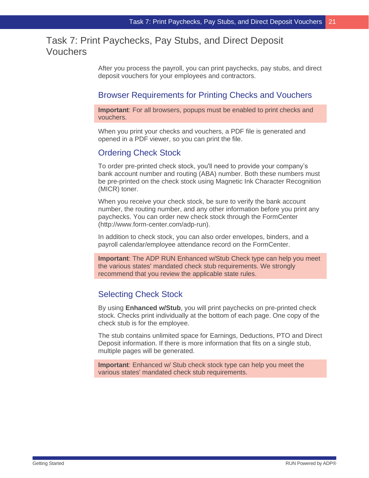## <span id="page-24-0"></span>Task 7: Print Paychecks, Pay Stubs, and Direct Deposit Vouchers

After you process the payroll, you can print paychecks, pay stubs, and direct deposit vouchers for your employees and contractors.

#### Browser Requirements for Printing Checks and Vouchers

**Important**: For all browsers, popups must be enabled to print checks and vouchers.

When you print your checks and vouchers, a PDF file is generated and opened in a PDF viewer, so you can print the file.

#### Ordering Check Stock

To order pre-printed check stock, you'll need to provide your company's bank account number and routing (ABA) number. Both these numbers must be pre-printed on the check stock using Magnetic Ink Character Recognition (MICR) toner.

When you receive your check stock, be sure to verify the bank account number, the routing number, and any other information before you print any paychecks. You can order new check stock through the FormCenter (http://www.form-center.com/adp-run).

In addition to check stock, you can also order envelopes, binders, and a payroll calendar/employee attendance record on the FormCenter.

**Important**: The ADP RUN Enhanced w/Stub Check type can help you meet the various states' mandated check stub requirements. We strongly recommend that you review the applicable state rules.

#### Selecting Check Stock

By using **Enhanced w/Stub**, you will print paychecks on pre-printed check stock. Checks print individually at the bottom of each page. One copy of the check stub is for the employee.

The stub contains unlimited space for Earnings, Deductions, PTO and Direct Deposit information. If there is more information that fits on a single stub, multiple pages will be generated.

**Important**: Enhanced w/ Stub check stock type can help you meet the various states' mandated check stub requirements.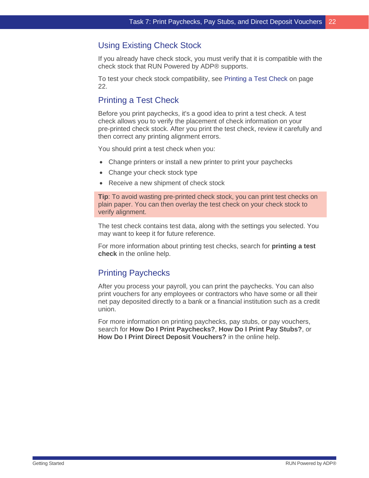#### Using Existing Check Stock

If you already have check stock, you must verify that it is compatible with the check stock that RUN Powered by ADP® supports.

To test your check stock compatibility, see Printing a Test Check on page [22.](#page-25-0)

## <span id="page-25-0"></span>Printing a Test Check

Before you print paychecks, it's a good idea to print a test check. A test check allows you to verify the placement of check information on your pre-printed check stock. After you print the test check, review it carefully and then correct any printing alignment errors.

You should print a test check when you:

- Change printers or install a new printer to print your paychecks
- Change your check stock type
- Receive a new shipment of check stock

**Tip**: To avoid wasting pre-printed check stock, you can print test checks on plain paper. You can then overlay the test check on your check stock to verify alignment.

The test check contains test data, along with the settings you selected. You may want to keep it for future reference.

For more information about printing test checks, search for **printing a test check** in the online help.

#### Printing Paychecks

After you process your payroll, you can print the paychecks. You can also print vouchers for any employees or contractors who have some or all their net pay deposited directly to a bank or a financial institution such as a credit union.

For more information on printing paychecks, pay stubs, or pay vouchers, search for **How Do I Print Paychecks?**, **How Do I Print Pay Stubs?**, or **How Do I Print Direct Deposit Vouchers?** in the online help.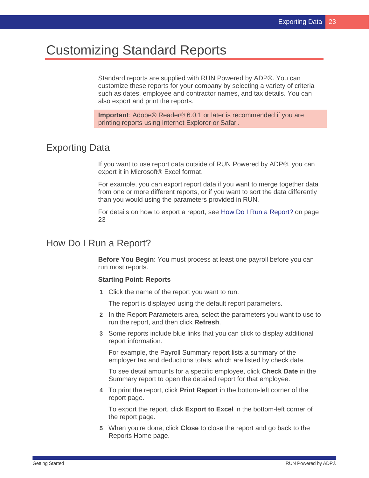# <span id="page-26-0"></span>Customizing Standard Reports

Standard reports are supplied with RUN Powered by ADP®. You can customize these reports for your company by selecting a variety of criteria such as dates, employee and contractor names, and tax details. You can also export and print the reports.

**Important**: Adobe® Reader® 6.0.1 or later is recommended if you are printing reports using Internet Explorer or Safari.

## <span id="page-26-1"></span>Exporting Data

If you want to use report data outside of RUN Powered by ADP®, you can export it in Microsoft® Excel format.

For example, you can export report data if you want to merge together data from one or more different reports, or if you want to sort the data differently than you would using the parameters provided in RUN.

For details on how to export a report, see How Do I Run a Report? on page [23](#page-26-2)

#### <span id="page-26-2"></span>How Do I Run a Report?

**Before You Begin**: You must process at least one payroll before you can run most reports.

#### **Starting Point: Reports**

**1** Click the name of the report you want to run.

The report is displayed using the default report parameters.

- **2** In the Report Parameters area, select the parameters you want to use to run the report, and then click **Refresh**.
- **3** Some reports include blue links that you can click to display additional report information.

For example, the Payroll Summary report lists a summary of the employer tax and deductions totals, which are listed by check date.

To see detail amounts for a specific employee, click **Check Date** in the Summary report to open the detailed report for that employee.

**4** To print the report, click **Print Report** in the bottom-left corner of the report page.

To export the report, click **Export to Excel** in the bottom-left corner of the report page.

**5** When you're done, click **Close** to close the report and go back to the Reports Home page.